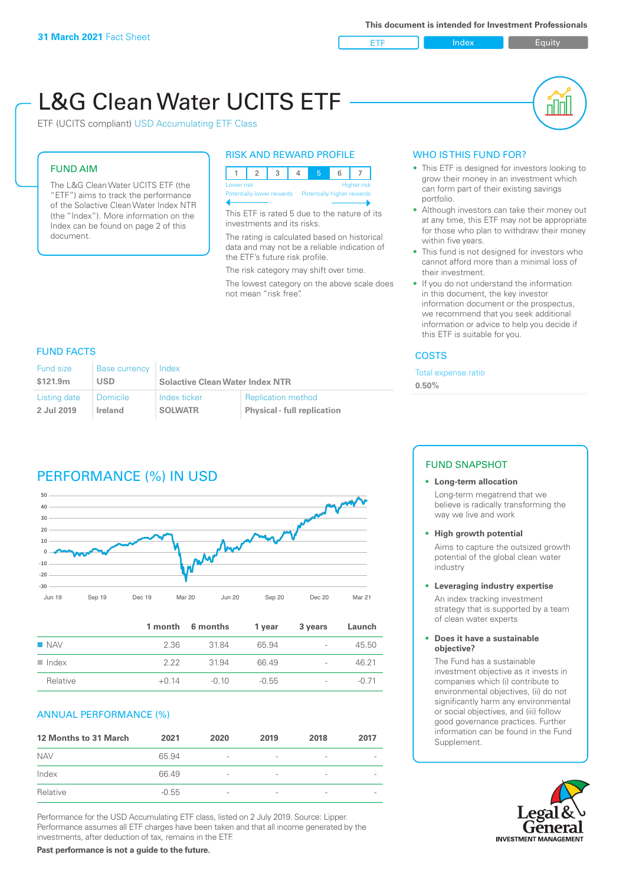**ETF** Index **Index** Equity

nN

# L&G Clean Water UCITS ETF

ETF (UCITS compliant) USD Accumulating ETF Class

### FUND AIM

The L&G Clean Water UCITS ETF (the "ETF") aims to track the performance of the Solactive Clean Water Index NTR (the "Index"). More information on the Index can be found on page 2 of this document.

### RISK AND REWARD PROFILE



This ETF is rated 5 due to the nature of its investments and its risks.

The rating is calculated based on historical data and may not be a reliable indication of the ETF's future risk profile.

The risk category may shift over time.

The lowest category on the above scale does not mean "risk free".

### WHO IS THIS FUND FOR?

- This ETF is designed for investors looking to grow their money in an investment which can form part of their existing savings portfolio.
- Although investors can take their money out at any time, this ETF may not be appropriate for those who plan to withdraw their money within five years.
- This fund is not designed for investors who cannot afford more than a minimal loss of their investment.
- If you do not understand the information in this document, the key investor information document or the prospectus, we recommend that you seek additional information or advice to help you decide if this ETF is suitable for you.

### **COSTS**

Total expense ratio

**0.50%**

### FUND FACTS

| <b>Fund size</b> | <b>Base currency</b> | Index                                  |                                    |  |
|------------------|----------------------|----------------------------------------|------------------------------------|--|
| \$121.9m         | USD                  | <b>Solactive Clean Water Index NTR</b> |                                    |  |
| Listing date     | Domicile             | Index ticker                           | <b>Replication method</b>          |  |
| 2 Jul 2019       | <b>Ireland</b>       | <b>SOLWATR</b>                         | <b>Physical - full replication</b> |  |

## PERFORMANCE (%) IN USD



|                      |         | 1 month 6 months | 1 year  | 3 years                  | Launch  |
|----------------------|---------|------------------|---------|--------------------------|---------|
| $\blacksquare$ NAV   | 2.36    | 3184             | 65.94   | $\overline{\phantom{a}}$ | 45.50   |
| $\blacksquare$ Index | 222     | 3194             | 6649    | $\overline{\phantom{a}}$ | 46.21   |
| Relative             | $+0.14$ | $-0.10$          | $-0.55$ | $\overline{\phantom{a}}$ | $-0.71$ |

### ANNUAL PERFORMANCE (%)

| <b>12 Months to 31 March</b> | 2021    | 2020                     | 2019                     | 2018            | 2017 |
|------------------------------|---------|--------------------------|--------------------------|-----------------|------|
| <b>NAV</b>                   | 65.94   | $\overline{\phantom{a}}$ |                          | ۰               |      |
| Index                        | 66.49   | $\overline{\phantom{a}}$ | -                        | $\qquad \qquad$ |      |
| Relative                     | $-0.55$ | $\overline{\phantom{a}}$ | $\overline{\phantom{0}}$ | $\overline{a}$  |      |

Performance for the USD Accumulating ETF class, listed on 2 July 2019. Source: Lipper. Performance assumes all ETF charges have been taken and that all income generated by the investments, after deduction of tax, remains in the ETF.

### FUND SNAPSHOT

## **• Long-term allocation**

Long-term megatrend that we believe is radically transforming the way we live and work

**• High growth potential**

Aims to capture the outsized growth potential of the global clean water industry

### **• Leveraging industry expertise**

An index tracking investment strategy that is supported by a team of clean water experts

### **• Does it have a sustainable objective?**

The Fund has a sustainable investment objective as it invests in companies which (i) contribute to environmental objectives, (ii) do not significantly harm any environmental or social objectives, and (iii) follow good governance practices. Further information can be found in the Fund Supplement.



**Past performance is not a guide to the future.**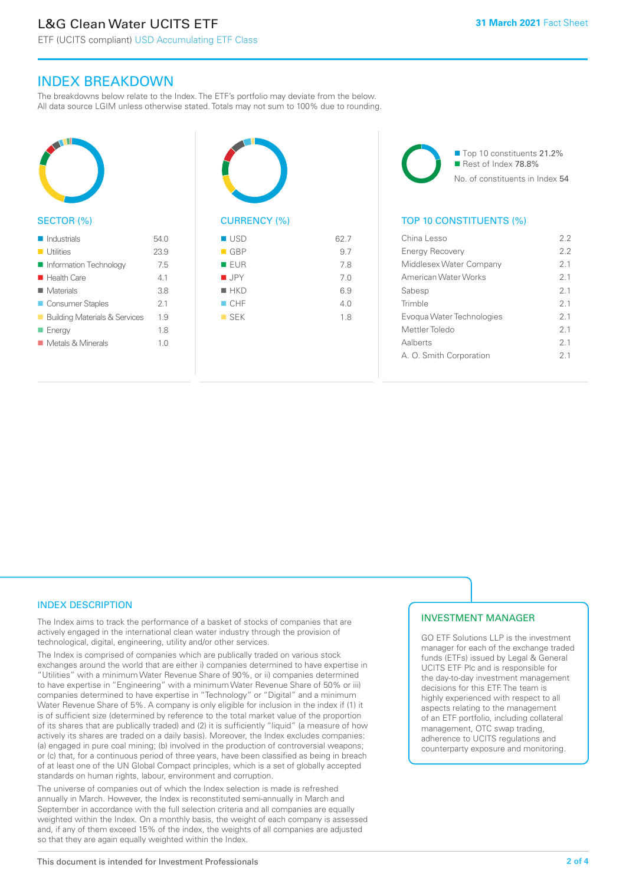ETF (UCITS compliant) USD Accumulating ETF Class

### INDEX BREAKDOWN

The breakdowns below relate to the Index. The ETF's portfolio may deviate from the below. All data source LGIM unless otherwise stated. Totals may not sum to 100% due to rounding.



### SECTOR (%)

| $\blacksquare$ Industrials               | 54 O           |
|------------------------------------------|----------------|
| <b>Utilities</b>                         | 23.9           |
| Information Technology                   | 7.5            |
| $\blacksquare$ Health Care               | 4.1            |
| $\blacksquare$ Materials                 | 3.8            |
| ■ Consumer Staples                       | 2.1            |
| <b>Building Materials &amp; Services</b> | 1.9            |
| $\blacksquare$ Energy                    | 1.8            |
| ■ Metals & Minerals                      | 1 <sub>0</sub> |
|                                          |                |



## $\blacksquare$  USD 62.7

| $\blacksquare$ GBP | 9.7 |
|--------------------|-----|
| EUR                | 7.8 |
| $\blacksquare$ JPY | 7.0 |
| $H$ HKD            | 6.9 |
| $\Box$ CHF         | 4.0 |
| $\blacksquare$ SEK | 1.8 |
|                    |     |
|                    |     |

■ Top 10 constituents 21.2% Rest of Index 78.8% No. of constituents in Index 54

### TOP 10 CONSTITUENTS (%)

| China Lesso               | 22             |
|---------------------------|----------------|
| <b>Energy Recovery</b>    | 22             |
| Middlesex Water Company   | 21             |
| American Water Works      | 21             |
| Sabesp                    | 21             |
| Trimble                   | 21             |
| Evogua Water Technologies | 21             |
| Mettler Toledo            | 21             |
| Aalberts                  | 2 <sub>1</sub> |
| A. O. Smith Corporation   | 21             |
|                           |                |

### INDEX DESCRIPTION

The Index aims to track the performance of a basket of stocks of companies that are actively engaged in the international clean water industry through the provision of technological, digital, engineering, utility and/or other services.

The Index is comprised of companies which are publically traded on various stock exchanges around the world that are either i) companies determined to have expertise in "Utilities" with a minimum Water Revenue Share of 90%, or ii) companies determined to have expertise in "Engineering" with a minimum Water Revenue Share of 50% or iii) companies determined to have expertise in "Technology" or "Digital" and a minimum Water Revenue Share of 5%. A company is only eligible for inclusion in the index if (1) it is of sufficient size (determined by reference to the total market value of the proportion of its shares that are publically traded) and (2) it is sufficiently "liquid" (a measure of how actively its shares are traded on a daily basis). Moreover, the Index excludes companies: (a) engaged in pure coal mining; (b) involved in the production of controversial weapons; or (c) that, for a continuous period of three years, have been classified as being in breach of at least one of the UN Global Compact principles, which is a set of globally accepted standards on human rights, labour, environment and corruption.

The universe of companies out of which the Index selection is made is refreshed annually in March. However, the Index is reconstituted semi-annually in March and September in accordance with the full selection criteria and all companies are equally weighted within the Index. On a monthly basis, the weight of each company is assessed and, if any of them exceed 15% of the index, the weights of all companies are adjusted so that they are again equally weighted within the Index.

### INVESTMENT MANAGER

GO ETF Solutions LLP is the investment manager for each of the exchange traded funds (ETFs) issued by Legal & General UCITS ETF Plc and is responsible for the day-to-day investment management decisions for this ETF. The team is highly experienced with respect to all aspects relating to the management of an ETF portfolio, including collateral management, OTC swap trading, adherence to UCITS regulations and counterparty exposure and monitoring.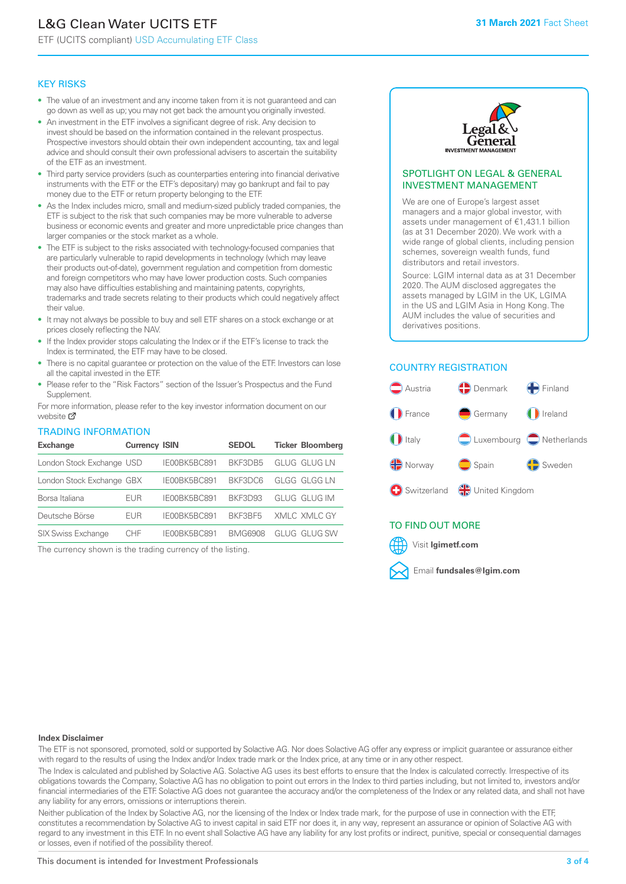## L&G Clean Water UCITS ETF

ETF (UCITS compliant) USD Accumulating ETF Class

### KEY RISKS

- The value of an investment and any income taken from it is not guaranteed and can go down as well as up; you may not get back the amount you originally invested.
- An investment in the ETF involves a significant degree of risk. Any decision to invest should be based on the information contained in the relevant prospectus. Prospective investors should obtain their own independent accounting, tax and legal advice and should consult their own professional advisers to ascertain the suitability of the ETF as an investment.
- Third party service providers (such as counterparties entering into financial derivative instruments with the ETF or the ETF's depositary) may go bankrupt and fail to pay money due to the ETF or return property belonging to the ETF.
- As the Index includes micro, small and medium-sized publicly traded companies, the ETF is subject to the risk that such companies may be more vulnerable to adverse business or economic events and greater and more unpredictable price changes than larger companies or the stock market as a whole.
- The ETF is subject to the risks associated with technology-focused companies that are particularly vulnerable to rapid developments in technology (which may leave their products out-of-date), government regulation and competition from domestic and foreign competitors who may have lower production costs. Such companies may also have difficulties establishing and maintaining patents, copyrights, trademarks and trade secrets relating to their products which could negatively affect their value.
- It may not always be possible to buy and sell ETF shares on a stock exchange or at prices closely reflecting the NAV.
- If the Index provider stops calculating the Index or if the ETF's license to track the Index is terminated, the ETF may have to be closed.
- There is no capital guarantee or protection on the value of the ETF. Investors can lose all the capital invested in the ETF.
- Please refer to the "Risk Factors" section of the Issuer's Prospectus and the Fund Supplement.

For mo[re inf](https://www.lgimetf.com/)ormation, please refer to the key investor information document on our website Ø

### TRADING INFORMATION

| <b>Exchange</b>           | <b>Currency ISIN</b> |              | <b>SEDOL</b>   | <b>Ticker Bloomberg</b> |
|---------------------------|----------------------|--------------|----------------|-------------------------|
| London Stock Exchange USD |                      | IE00BK5BC891 | BKF3DB5        | GLUG GLUG LN            |
| London Stock Exchange GBX |                      | IE00BK5BC891 | BKF3DC6        | <b>GLGG GLGG LN</b>     |
| Borsa Italiana            | EUR                  | IE00BK5BC891 | BKF3D93        | GLUG GLUG IM            |
| Deutsche Börse            | <b>EUR</b>           | IE00BK5BC891 | BKF3BF5        | XMLC XMLC GY            |
| <b>SIX Swiss Exchange</b> | CHF                  | IE00BK5BC891 | <b>BMG6908</b> | GLUG GLUG SW            |

The currency shown is the trading currency of the listing.



### SPOTLIGHT ON LEGAL & GENERAL INVESTMENT MANAGEMENT

We are one of Europe's largest asset managers and a major global investor, with assets under management of €1,431.1 billion (as at 31 December 2020). We work with a wide range of global clients, including pension schemes, sovereign wealth funds, fund distributors and retail investors.

Source: LGIM internal data as at 31 December 2020. The AUM disclosed aggregates the assets managed by LGIM in the UK, LGIMA in the US and LGIM Asia in Hong Kong. The AUM includes the value of securities and derivatives positions.

### COUNTRY REGISTRATION



### TO FIND OUT MORE



### **Index Disclaimer**

The ETF is not sponsored, promoted, sold or supported by Solactive AG. Nor does Solactive AG offer any express or implicit guarantee or assurance either with regard to the results of using the Index and/or Index trade mark or the Index price, at any time or in any other respect.

The Index is calculated and published by Solactive AG. Solactive AG uses its best efforts to ensure that the Index is calculated correctly. Irrespective of its obligations towards the Company, Solactive AG has no obligation to point out errors in the Index to third parties including, but not limited to, investors and/or financial intermediaries of the ETF. Solactive AG does not guarantee the accuracy and/or the completeness of the Index or any related data, and shall not have any liability for any errors, omissions or interruptions therein.

Neither publication of the Index by Solactive AG, nor the licensing of the Index or Index trade mark, for the purpose of use in connection with the ETF, constitutes a recommendation by Solactive AG to invest capital in said ETF nor does it, in any way, represent an assurance or opinion of Solactive AG with regard to any investment in this ETF. In no event shall Solactive AG have any liability for any lost profits or indirect, punitive, special or consequential damages or losses, even if notified of the possibility thereof.